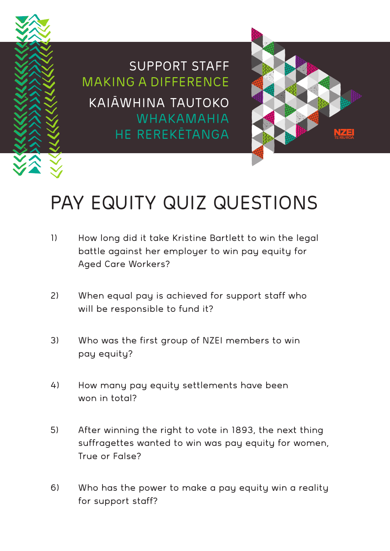

SUPPORT STAFF MAKING A DIFFERENCE KAIĀWHINA TAUTOKO WHAKAMAHIA HE REREKĒTANGA



## PAY EQUITY QUIZ QUESTIONS

- 1) How long did it take Kristine Bartlett to win the legal battle against her employer to win pay equity for Aged Care Workers?
- 2) When equal pay is achieved for support staff who will be responsible to fund it?
- 3) Who was the first group of NZEI members to win pay equity?
- 4) How many pay equity settlements have been won in total?
- 5) After winning the right to vote in 1893, the next thing suffragettes wanted to win was pay equity for women, True or False?
- 6) Who has the power to make a pay equity win a reality for support staff?